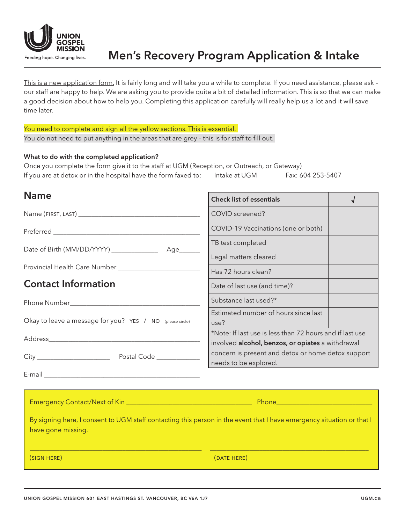

This is a new application form. It is fairly long and will take you a while to complete. If you need assistance, please ask our staff are happy to help. We are asking you to provide quite a bit of detailed information. This is so that we can make a good decision about how to help you. Completing this application carefully will really help us a lot and it will save time later.

You need to complete and sign all the yellow sections. This is essential. You do not need to put anything in the areas that are grey - this is for staff to fill out.

### What to do with the completed application?

Once you complete the form give it to the staff at UGM (Reception, or Outreach, or Gateway) If you are at detox or in the hospital have the form faxed to: Intake at UGM Fax: 604 253-5407

| <b>Name</b>                                                                                                                                 | <b>Check list of essentials</b>                                                                                                  | √ |
|---------------------------------------------------------------------------------------------------------------------------------------------|----------------------------------------------------------------------------------------------------------------------------------|---|
|                                                                                                                                             | COVID screened?                                                                                                                  |   |
|                                                                                                                                             | COVID-19 Vaccinations (one or both)                                                                                              |   |
|                                                                                                                                             | TB test completed                                                                                                                |   |
| Date of Birth (MM/DD/YYYY) _____________<br>Age______                                                                                       | Legal matters cleared                                                                                                            |   |
| Provincial Health Care Number ____________________________                                                                                  | Has 72 hours clean?                                                                                                              |   |
| <b>Contact Information</b>                                                                                                                  | Date of last use (and time)?                                                                                                     |   |
|                                                                                                                                             | Substance last used?*                                                                                                            |   |
| Okay to leave a message for you? YES / NO (please circle)                                                                                   | Estimated number of hours since last<br>use?                                                                                     |   |
|                                                                                                                                             | *Note: If last use is less than 72 hours and if last use                                                                         |   |
|                                                                                                                                             | involved alcohol, benzos, or opiates a withdrawal<br>concern is present and detox or home detox support<br>needs to be explored. |   |
|                                                                                                                                             |                                                                                                                                  |   |
|                                                                                                                                             |                                                                                                                                  |   |
| By signing here, I consent to UGM staff contacting this person in the event that I have emergency situation or that I<br>have gone missing. |                                                                                                                                  |   |

 $\_$  , and the state of the state of the state of the state of the state of the state of the state of the state of the state of the state of the state of the state of the state of the state of the state of the state of the

(sign here) (date here)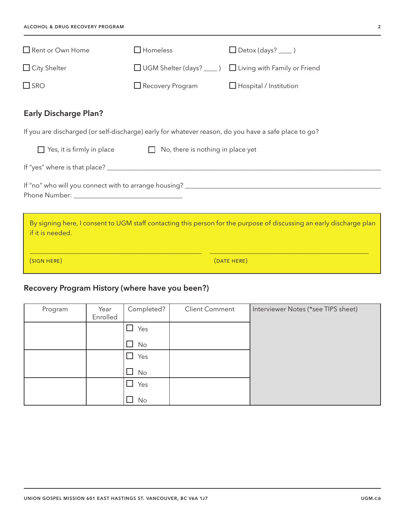| Rent or Own Home                                                                                                                         | $\square$ Homeless                                  | $\Box$ Detox (days? _____ )                                |  |  |  |
|------------------------------------------------------------------------------------------------------------------------------------------|-----------------------------------------------------|------------------------------------------------------------|--|--|--|
| $\Box$ City Shelter                                                                                                                      |                                                     | □ UGM Shelter (days? ____ ) □ Living with Family or Friend |  |  |  |
| $\Box$ SRO                                                                                                                               | $\Box$ Recovery Program                             | $\Box$ Hospital / Institution                              |  |  |  |
| <b>Early Discharge Plan?</b>                                                                                                             |                                                     |                                                            |  |  |  |
| If you are discharged (or self-discharge) early for whatever reason, do you have a safe place to go?                                     |                                                     |                                                            |  |  |  |
| $\Box$ Yes, it is firmly in place                                                                                                        | No, there is nothing in place yet<br>$\mathbb{R}^n$ |                                                            |  |  |  |
|                                                                                                                                          |                                                     |                                                            |  |  |  |
|                                                                                                                                          |                                                     |                                                            |  |  |  |
| By signing here, I consent to UGM staff contacting this person for the purpose of discussing an early discharge plan<br>if it is needed. |                                                     |                                                            |  |  |  |
| (SIGN HERE)                                                                                                                              |                                                     | (DATE HERE)                                                |  |  |  |

# Recovery Program History (where have you been?)

| Program | Year<br>Enrolled | Completed?    | <b>Client Comment</b> | Interviewer Notes (*see TIPS sheet) |
|---------|------------------|---------------|-----------------------|-------------------------------------|
|         |                  | Yes<br>$\Box$ |                       |                                     |
|         |                  | No<br>ப       |                       |                                     |
|         |                  | Yes<br>$\Box$ |                       |                                     |
|         |                  | $\Box$ No     |                       |                                     |
|         |                  | Yes<br>- 1    |                       |                                     |
|         |                  | No            |                       |                                     |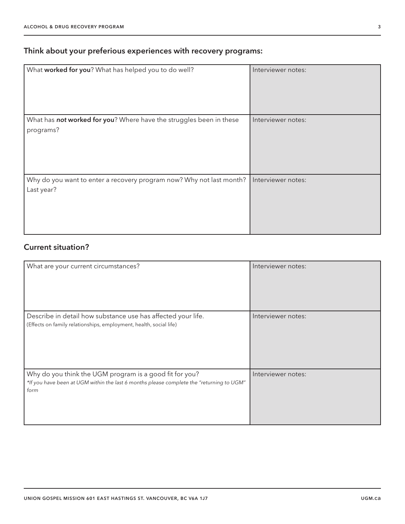## Think about your preferious experiences with recovery programs:

| What worked for you? What has helped you to do well?                               | Interviewer notes: |
|------------------------------------------------------------------------------------|--------------------|
| What has not worked for you? Where have the struggles been in these<br>programs?   | Interviewer notes: |
| Why do you want to enter a recovery program now? Why not last month?<br>Last year? | Interviewer notes: |

## Current situation?

| What are your current circumstances?                                                                                                                        | Interviewer notes: |
|-------------------------------------------------------------------------------------------------------------------------------------------------------------|--------------------|
| Describe in detail how substance use has affected your life.<br>(Effects on family relationships, employment, health, social life)                          | Interviewer notes: |
| Why do you think the UGM program is a good fit for you?<br>*If you have been at UGM within the last 6 months please complete the "returning to UGM"<br>form | Interviewer notes: |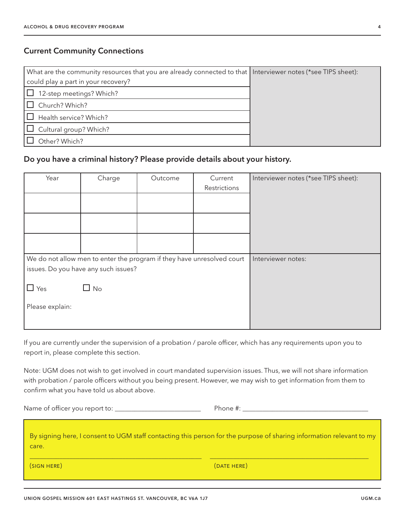### Current Community Connections

| What are the community resources that you are already connected to that Interviewer notes (*see TIPS sheet): |  |
|--------------------------------------------------------------------------------------------------------------|--|
| could play a part in your recovery?                                                                          |  |
| 12-step meetings? Which?                                                                                     |  |
| Church? Which?                                                                                               |  |
| Health service? Which?                                                                                       |  |
| Cultural group? Which?<br>$\mathbf{1}$                                                                       |  |
| Other? Which?                                                                                                |  |

### Do you have a criminal history? Please provide details about your history.

| Year            | Charge                                                                 | Outcome | Current      | Interviewer notes (*see TIPS sheet): |
|-----------------|------------------------------------------------------------------------|---------|--------------|--------------------------------------|
|                 |                                                                        |         | Restrictions |                                      |
|                 |                                                                        |         |              |                                      |
|                 |                                                                        |         |              |                                      |
|                 |                                                                        |         |              |                                      |
|                 |                                                                        |         |              |                                      |
|                 |                                                                        |         |              |                                      |
|                 |                                                                        |         |              |                                      |
|                 | We do not allow men to enter the program if they have unresolved court |         |              | Interviewer notes:                   |
|                 | issues. Do you have any such issues?                                   |         |              |                                      |
|                 |                                                                        |         |              |                                      |
| $\Box$ Yes      |                                                                        |         |              |                                      |
|                 |                                                                        |         |              |                                      |
|                 |                                                                        |         |              |                                      |
|                 |                                                                        |         |              |                                      |
| Please explain: | No                                                                     |         |              |                                      |

If you are currently under the supervision of a probation / parole officer, which has any requirements upon you to report in, please complete this section.

Note: UGM does not wish to get involved in court mandated supervision issues. Thus, we will not share information with probation / parole officers without you being present. However, we may wish to get information from them to confirm what you have told us about above.

Name of officer you report to: \_\_\_\_\_\_\_\_\_\_\_\_\_\_\_\_\_\_\_\_\_\_\_\_\_\_ Phone #: \_\_\_\_\_\_\_\_\_\_\_\_\_\_\_\_\_\_\_\_\_\_\_\_\_\_\_\_\_\_\_\_\_\_\_\_\_\_

By signing here, I consent to UGM staff contacting this person for the purpose of sharing information relevant to my care.

\_\_\_\_\_\_\_\_\_\_\_\_\_\_\_\_\_\_\_\_\_\_\_\_\_\_\_\_\_\_\_\_\_\_\_\_\_\_\_\_\_\_\_\_\_\_\_\_\_\_\_\_ \_\_\_\_\_\_\_\_\_\_\_\_\_\_\_\_\_\_\_\_\_\_\_\_\_\_\_\_\_\_\_\_\_\_\_\_\_\_\_\_\_\_\_\_\_\_\_\_

(sign here) (date here)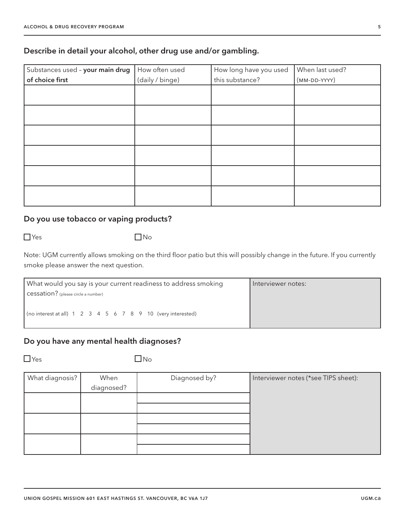### Describe in detail your alcohol, other drug use and/or gambling.

| Substances used - your main drug | How often used  | How long have you used          | When last used? |
|----------------------------------|-----------------|---------------------------------|-----------------|
| of choice first                  | (daily / binge) | this substance?<br>(MM-DD-YYYY) |                 |
|                                  |                 |                                 |                 |
|                                  |                 |                                 |                 |
|                                  |                 |                                 |                 |
|                                  |                 |                                 |                 |
|                                  |                 |                                 |                 |
|                                  |                 |                                 |                 |
|                                  |                 |                                 |                 |
|                                  |                 |                                 |                 |
|                                  |                 |                                 |                 |
|                                  |                 |                                 |                 |
|                                  |                 |                                 |                 |
|                                  |                 |                                 |                 |

## Do you use tobacco or vaping products?

 $\Box$ Yes  $\Box$ Yes  $\Box$ 

Note: UGM currently allows smoking on the third floor patio but this will possibly change in the future. If you currently smoke please answer the next question.

| What would you say is your current readiness to address smoking     | Interviewer notes: |
|---------------------------------------------------------------------|--------------------|
| cessation? (please circle a number)                                 |                    |
| $\vert$ (no interest at all) 1 2 3 4 5 6 7 8 9 10 (very interested) |                    |

### Do you have any mental health diagnoses?

 $\Box$ Yes  $\Box$ Yes

| What diagnosis? | When       | Diagnosed by? | Interviewer notes (*see TIPS sheet): |
|-----------------|------------|---------------|--------------------------------------|
|                 | diagnosed? |               |                                      |
|                 |            |               |                                      |
|                 |            |               |                                      |
|                 |            |               |                                      |
|                 |            |               |                                      |
|                 |            |               |                                      |
|                 |            |               |                                      |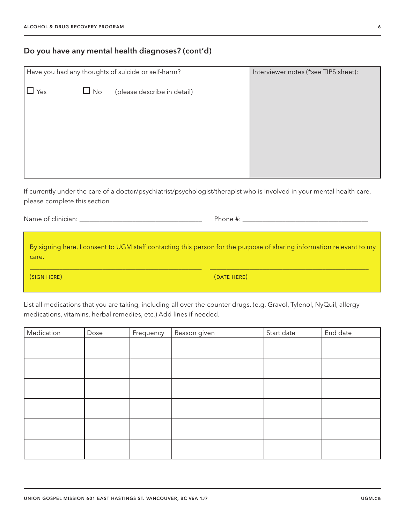## Do you have any mental health diagnoses? (cont'd)

| Have you had any thoughts of suicide or self-harm? |           |                             | Interviewer notes (*see TIPS sheet): |
|----------------------------------------------------|-----------|-----------------------------|--------------------------------------|
| Yes                                                | $\Box$ No | (please describe in detail) |                                      |
|                                                    |           |                             |                                      |
|                                                    |           |                             |                                      |
|                                                    |           |                             |                                      |
|                                                    |           |                             |                                      |

If currently under the care of a doctor/psychiatrist/psychologist/therapist who is involved in your mental health care, please complete this section

Name of clinician:  $\Box$ 

By signing here, I consent to UGM staff contacting this person for the purpose of sharing information relevant to my care.

 $\_$  , and the state of the state of the state of the state of the state of the state of the state of the state of the state of the state of the state of the state of the state of the state of the state of the state of the

(sign here) (date here)

List all medications that you are taking, including all over-the-counter drugs. (e.g. Gravol, Tylenol, NyQuil, allergy medications, vitamins, herbal remedies, etc.) Add lines if needed.

| Medication | Dose | Frequency | Reason given | Start date | End date |
|------------|------|-----------|--------------|------------|----------|
|            |      |           |              |            |          |
|            |      |           |              |            |          |
|            |      |           |              |            |          |
|            |      |           |              |            |          |
|            |      |           |              |            |          |
|            |      |           |              |            |          |
|            |      |           |              |            |          |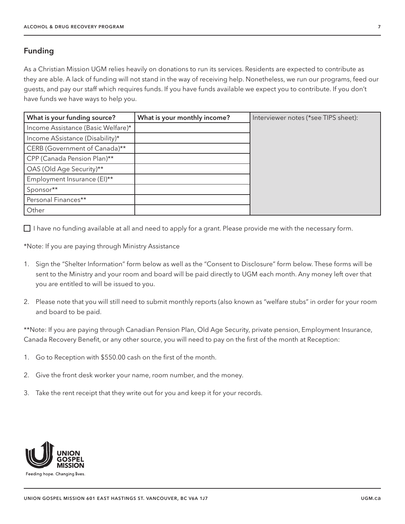### Funding

As a Christian Mission UGM relies heavily on donations to run its services. Residents are expected to contribute as they are able. A lack of funding will not stand in the way of receiving help. Nonetheless, we run our programs, feed our guests, and pay our staff which requires funds. If you have funds available we expect you to contribute. If you don't have funds we have ways to help you.

| What is your funding source?       | What is your monthly income? | Interviewer notes (*see TIPS sheet): |
|------------------------------------|------------------------------|--------------------------------------|
| Income Assistance (Basic Welfare)* |                              |                                      |
| Income ASsistance (Disability)*    |                              |                                      |
| CERB (Government of Canada)**      |                              |                                      |
| CPP (Canada Pension Plan)**        |                              |                                      |
| OAS (Old Age Security)**           |                              |                                      |
| Employment Insurance (EI)**        |                              |                                      |
| Sponsor**                          |                              |                                      |
| Personal Finances**                |                              |                                      |
| Other                              |                              |                                      |

 $\Box$  I have no funding available at all and need to apply for a grant. Please provide me with the necessary form.

\*Note: If you are paying through Ministry Assistance

- 1. Sign the "Shelter Information" form below as well as the "Consent to Disclosure" form below. These forms will be sent to the Ministry and your room and board will be paid directly to UGM each month. Any money left over that you are entitled to will be issued to you.
- 2. Please note that you will still need to submit monthly reports (also known as "welfare stubs" in order for your room and board to be paid.

\*\*Note: If you are paying through Canadian Pension Plan, Old Age Security, private pension, Employment Insurance, Canada Recovery Benefit, or any other source, you will need to pay on the first of the month at Reception:

- 1. Go to Reception with \$550.00 cash on the first of the month.
- 2. Give the front desk worker your name, room number, and the money.
- 3. Take the rent receipt that they write out for you and keep it for your records.

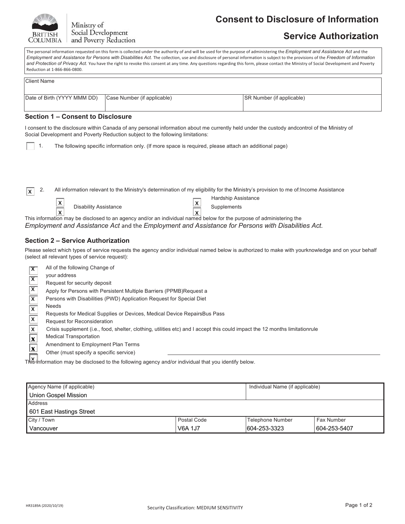

Ministry of Social Development and Poverty Reduction

# **Consent to Disclosure of Information**

# **Service Authorization**

The personal information requested on this form is collected under the authority of and will be used for the purpose of administering the *Employment and Assistance Act* and the *Employment and Assistance for Persons with Disabilities Act.* The collection, use and disclosure of personal information is subject to the provisions of the *Freedom of Information*  and Protection of Privacy Act. You have the right to revoke this consent at any time. Any questions regarding this form, please contact the Ministry of Social Development and Poverty Reduction at 1-866-866-0800.

| <b>Client Name</b>          |                             |                                  |
|-----------------------------|-----------------------------|----------------------------------|
| Date of Birth (YYYY MMM DD) | Case Number (if applicable) | <b>SR Number (if applicable)</b> |

#### **Section 1 – Consent to Disclosure**

I consent to the disclosure within Canada of any personal information about me currently held under the custody andcontrol of the Ministry of Social Development and Poverty Reduction subject to the following limitations:

| The following specific information only. (If more space is required, please attach an additional page) |  |
|--------------------------------------------------------------------------------------------------------|--|
|                                                                                                        |  |

2. All information relevant to the Ministry's determination of my eligibility for the Ministry's provision to me of:Income Assistance  $\overline{\mathbf{x}}$ 

x

| $\vert x \vert$         | <b>Disability Assistance</b> |
|-------------------------|------------------------------|
| $\overline{\mathbf{x}}$ |                              |

Hardship Assistance **Supplements** 

x This information may be disclosed to an agency and/or an individual named below for the purpose of administering the

*Employment and Assistance Act* and the *Employment and Assistance for Persons with Disabilities Act*.

### **Section 2 – Service Authorization**

Please select which types of service requests the agency and/or individual named below is authorized to make with yourknowledge and on your behalf (select all relevant types of service request):

| $\overline{\mathsf{x}}$   | All of the following Change of                                                                                               |
|---------------------------|------------------------------------------------------------------------------------------------------------------------------|
|                           | your address                                                                                                                 |
| $\overline{\mathsf{x}}$   | Request for security deposit                                                                                                 |
| $\overline{\mathsf{x}}$   | Apply for Persons with Persistent Multiple Barriers (PPMB)Request a                                                          |
| $\mathsf{x}$              | Persons with Disabilities (PWD) Application Request for Special Diet                                                         |
| $\boldsymbol{\mathsf{x}}$ | <b>Needs</b>                                                                                                                 |
|                           | Requests for Medical Supplies or Devices, Medical Device RepairsBus Pass                                                     |
| $\overline{\mathsf{x}}$   | <b>Request for Reconsideration</b>                                                                                           |
| X                         | Crisis supplement (i.e., food, shelter, clothing, utilities etc) and I accept this could impact the 12 months limitationrule |
| $\boldsymbol{\mathsf{x}}$ | <b>Medical Transportation</b>                                                                                                |
|                           | Amendment to Employment Plan Terms                                                                                           |
| $\overline{\mathbf{x}}$   | Other (must specify a specific service)                                                                                      |

This information may be disclosed to the following agency and/or individual that you identify below. x

| Agency Name (if applicable) | Individual Name (if applicable) |                  |              |  |
|-----------------------------|---------------------------------|------------------|--------------|--|
| Union Gospel Mission        |                                 |                  |              |  |
| Address                     |                                 |                  |              |  |
| 601 East Hastings Street    |                                 |                  |              |  |
| City / Town                 | Postal Code                     | Telephone Number | Fax Number   |  |
| Vancouver                   | V6A 1J7                         | 604-253-3323     | 604-253-5407 |  |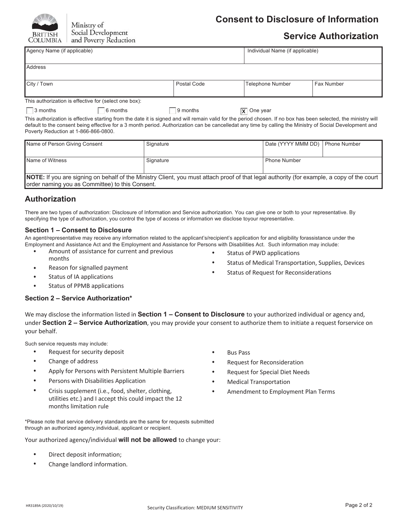

Ministry of Social Development and Poverty Reduction

# **Consent to Disclosure of Information**

# **Service Authorization**

| Agency Name (if applicable)                                                                                                                                                                      |             | Individual Name (if applicable) |                   |  |  |
|--------------------------------------------------------------------------------------------------------------------------------------------------------------------------------------------------|-------------|---------------------------------|-------------------|--|--|
|                                                                                                                                                                                                  |             |                                 |                   |  |  |
| Address                                                                                                                                                                                          |             |                                 |                   |  |  |
|                                                                                                                                                                                                  |             |                                 |                   |  |  |
| City / Town                                                                                                                                                                                      | Postal Code | <b>Telephone Number</b>         | <b>Fax Number</b> |  |  |
|                                                                                                                                                                                                  |             |                                 |                   |  |  |
| This authorization is effective for (select one box):                                                                                                                                            |             |                                 |                   |  |  |
| $\Box$ 3 months<br>6 months                                                                                                                                                                      | 9 months    | $ \mathbf{x} $ One year         |                   |  |  |
| This authorization is effective starting from the date it is signed and will remain valid for the period chosen. If no box has been selected, the ministry will                                  |             |                                 |                   |  |  |
| default to the consent being effective for a 3 month period. Authorization can be cancelledat any time by calling the Ministry of Social Development and<br>Poverty Reduction at 1-866-866-0800. |             |                                 |                   |  |  |

| Name of Person Giving Consent                                                                                                                     | Signature | Date (YYYY MMM DD)  | <b>Phone Number</b> |  |  |  |
|---------------------------------------------------------------------------------------------------------------------------------------------------|-----------|---------------------|---------------------|--|--|--|
|                                                                                                                                                   |           |                     |                     |  |  |  |
| Name of Witness                                                                                                                                   | Signature | <b>Phone Number</b> |                     |  |  |  |
|                                                                                                                                                   |           |                     |                     |  |  |  |
| <b>NOTE:</b> If you are signing on behalf of the Ministry Client, you must attach proof of that legal authority (for example, a copy of the court |           |                     |                     |  |  |  |
| order naming you as Committee) to this Consent.                                                                                                   |           |                     |                     |  |  |  |

## **Authorization**

There are two types of authorization: Disclosure of Information and Service authorization. You can give one or both to your representative. By specifying the type of authorization, you control the type of access or information we disclose toyour representative.

#### **Section 1 – Consent to Disclosure**

An agent/representative may receive any information related to the applicant's/recipient's application for and eligibility forassistance under the Employment and Assistance Act and the Employment and Assistance for Persons with Disabilities Act. Such information may include:

- Amount of assistance for current and previous months
- Reason for signalled payment
- Status of IA applications
- Status of PPMB applications

### **Section 2 – Service Authorization\***

We may disclose the information listed in **Section 1 – Consent to Disclosure** to your authorized individual or agency and, under **Section 2 – Service Authorization**, you may provide your consent to authorize them to initiate a request forservice on your behalf.

Such service requests may include:

- Request for security deposit
- Change of address
- Apply for Persons with Persistent Multiple Barriers
- Persons with Disabilities Application
- Crisis supplement (i.e., food, shelter, clothing, utilities etc.) and I accept this could impact the 12 months limitation rule
- \*Please note that service delivery standards are the same for requests submitted through an authorized agency,individual, applicant or recipient.

Your authorized agency/individual **will not be allowed** to change your:

- Direct deposit information;
- Change landlord information.
- Bus Pass
- Request for Reconsideration

• Status of PWD applications

• Status of Medical Transportation, Supplies, Devices

• Status of Request for Reconsiderations

- Request for Special Diet Needs
- Medical Transportation
- Amendment to Employment Plan Terms